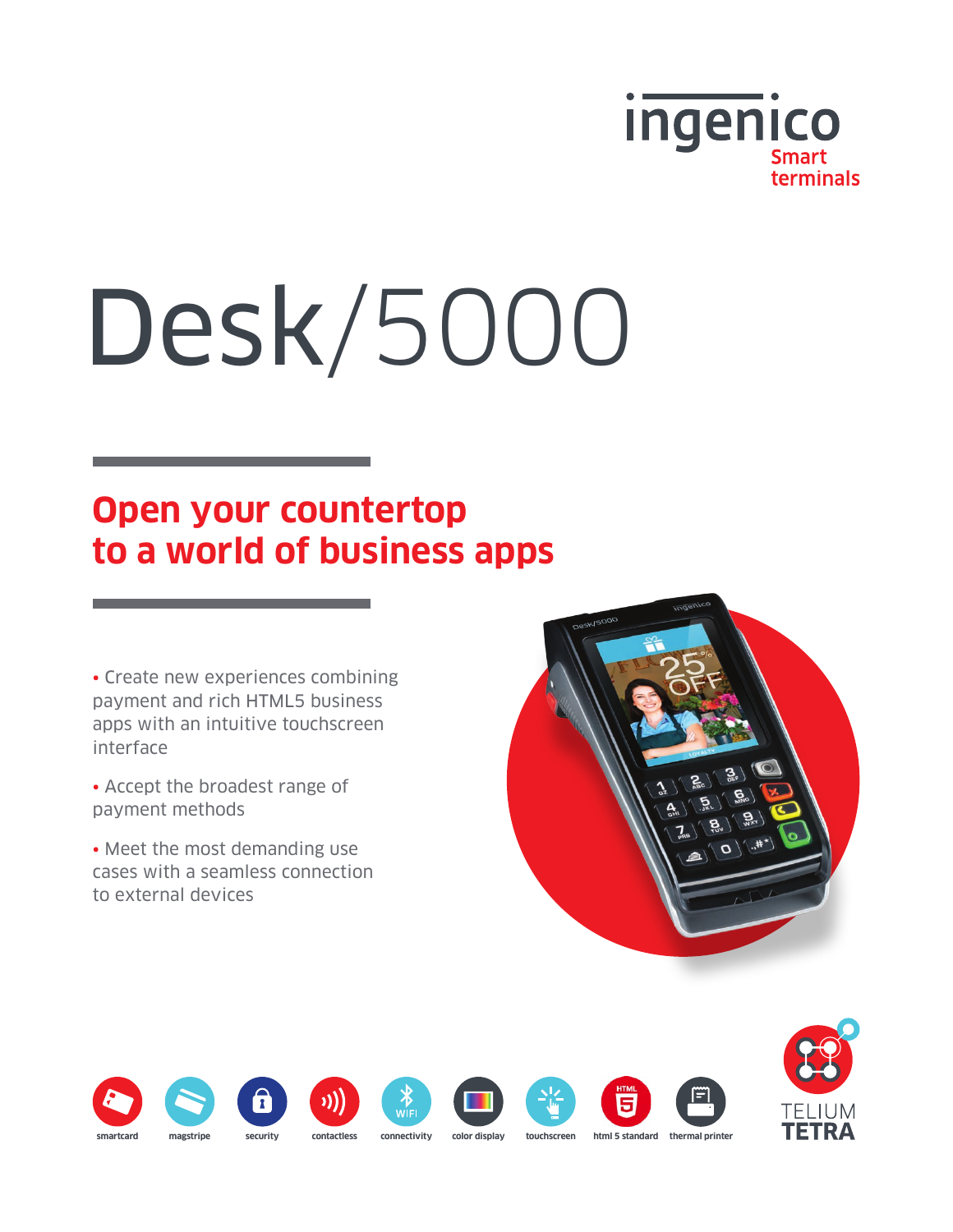

# Desk/5000

# **Open your countertop to a world of business apps**

• Create new experiences combining payment and rich HTML5 business apps with an intuitive touchscreen interface

• Accept the broadest range of payment methods

• Meet the most demanding use cases with a seamless connection to external devices